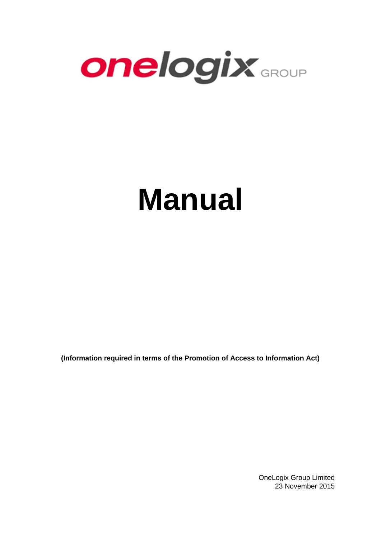

# **Manual**

**(Information required in terms of the Promotion of Access to Information Act)**

OneLogix Group Limited 23 November 2015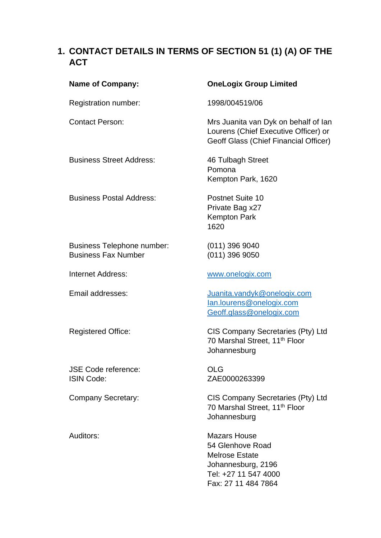# **1. CONTACT DETAILS IN TERMS OF SECTION 51 (1) (A) OF THE ACT**

| <b>Name of Company:</b>                                         | <b>OneLogix Group Limited</b>                                                                                                         |
|-----------------------------------------------------------------|---------------------------------------------------------------------------------------------------------------------------------------|
| Registration number:                                            | 1998/004519/06                                                                                                                        |
| <b>Contact Person:</b>                                          | Mrs Juanita van Dyk on behalf of lan<br>Lourens (Chief Executive Officer) or<br>Geoff Glass (Chief Financial Officer)                 |
| <b>Business Street Address:</b>                                 | 46 Tulbagh Street<br>Pomona<br>Kempton Park, 1620                                                                                     |
| <b>Business Postal Address:</b>                                 | Postnet Suite 10<br>Private Bag x27<br><b>Kempton Park</b><br>1620                                                                    |
| <b>Business Telephone number:</b><br><b>Business Fax Number</b> | (011) 396 9040<br>$(011)$ 396 9050                                                                                                    |
| Internet Address:                                               | www.onelogix.com                                                                                                                      |
| Email addresses:                                                | Juanita.vandyk@onelogix.com<br>lan.lourens@onelogix.com<br>Geoff.glass@onelogix.com                                                   |
| <b>Registered Office:</b>                                       | CIS Company Secretaries (Pty) Ltd<br>70 Marshal Street, 11 <sup>th</sup> Floor<br>Johannesburg                                        |
| <b>JSE Code reference:</b><br><b>ISIN Code:</b>                 | <b>OLG</b><br>ZAE0000263399                                                                                                           |
| <b>Company Secretary:</b>                                       | CIS Company Secretaries (Pty) Ltd<br>70 Marshal Street, 11 <sup>th</sup> Floor<br>Johannesburg                                        |
| Auditors:                                                       | <b>Mazars House</b><br>54 Glenhove Road<br><b>Melrose Estate</b><br>Johannesburg, 2196<br>Tel: +27 11 547 4000<br>Fax: 27 11 484 7864 |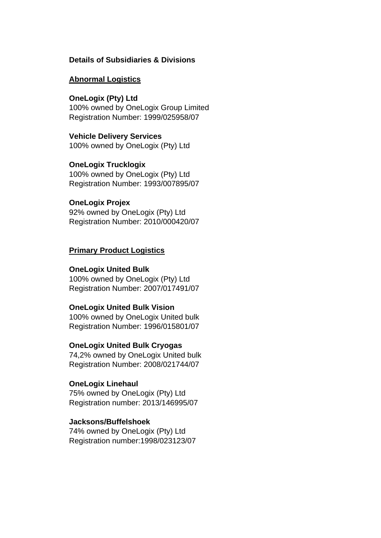## **Details of Subsidiaries & Divisions**

#### **Abnormal Logistics**

#### **OneLogix (Pty) Ltd**

100% owned by OneLogix Group Limited Registration Number: 1999/025958/07

# **Vehicle Delivery Services**

100% owned by OneLogix (Pty) Ltd

#### **OneLogix Trucklogix**

100% owned by OneLogix (Pty) Ltd Registration Number: 1993/007895/07

#### **OneLogix Projex**

92% owned by OneLogix (Pty) Ltd Registration Number: 2010/000420/07

#### **Primary Product Logistics**

#### **OneLogix United Bulk**

100% owned by OneLogix (Pty) Ltd Registration Number: 2007/017491/07

#### **OneLogix United Bulk Vision**

100% owned by OneLogix United bulk Registration Number: 1996/015801/07

#### **OneLogix United Bulk Cryogas**

74,2% owned by OneLogix United bulk Registration Number: 2008/021744/07

#### **OneLogix Linehaul**

75% owned by OneLogix (Pty) Ltd Registration number: 2013/146995/07

#### **Jacksons/Buffelshoek**

74% owned by OneLogix (Pty) Ltd Registration number:1998/023123/07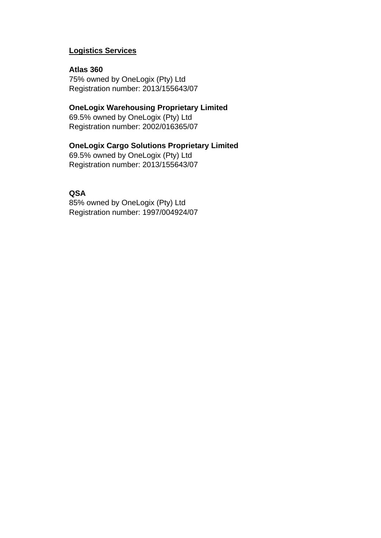#### **Logistics Services**

## **Atlas 360**

75% owned by OneLogix (Pty) Ltd Registration number: 2013/155643/07

#### **OneLogix Warehousing Proprietary Limited**

69.5% owned by OneLogix (Pty) Ltd Registration number: 2002/016365/07

## **OneLogix Cargo Solutions Proprietary Limited**

69.5% owned by OneLogix (Pty) Ltd Registration number: 2013/155643/07

## **QSA**

85% owned by OneLogix (Pty) Ltd Registration number: 1997/004924/07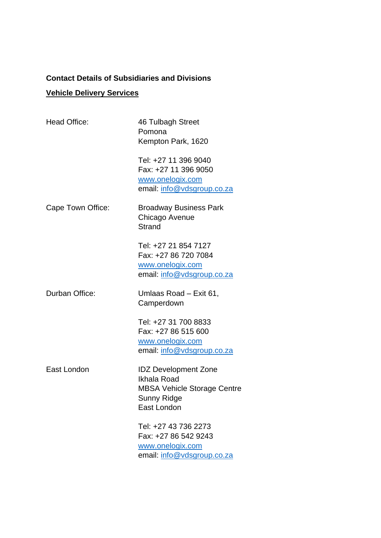## **Contact Details of Subsidiaries and Divisions**

# **Vehicle Delivery Services**

| <b>Head Office:</b> | 46 Tulbagh Street<br>Pomona<br>Kempton Park, 1620                                                              |
|---------------------|----------------------------------------------------------------------------------------------------------------|
|                     | Tel: +27 11 396 9040<br>Fax: +27 11 396 9050<br>www.onelogix.com<br>email: info@vdsgroup.co.za                 |
| Cape Town Office:   | <b>Broadway Business Park</b><br>Chicago Avenue<br>Strand                                                      |
|                     | Tel: +27 21 854 7127<br>Fax: +27 86 720 7084<br>www.onelogix.com<br>email: info@vdsgroup.co.za                 |
| Durban Office:      | Umlaas Road - Exit 61,<br>Camperdown                                                                           |
|                     | Tel: +27 31 700 8833<br>Fax: +27 86 515 600<br>www.onelogix.com<br>email: info@vdsgroup.co.za                  |
| East London         | <b>IDZ Development Zone</b><br>Ikhala Road<br><b>MBSA Vehicle Storage Centre</b><br>Sunny Ridge<br>East London |
|                     | Tel: +27 43 736 2273<br>Fax: +27 86 542 9243<br>www.onelogix.com<br>email: info@vdsgroup.co.za                 |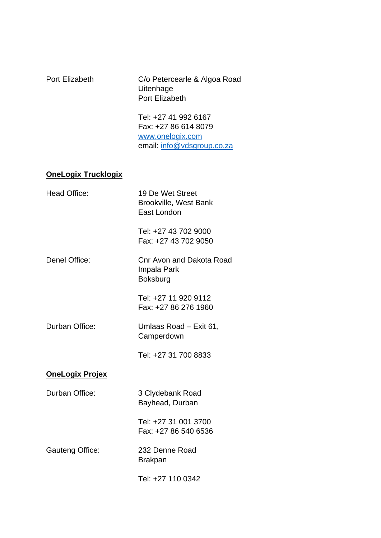| Port Elizabeth             | C/o Petercearle & Algoa Road<br>Uitenhage<br><b>Port Elizabeth</b>                             |
|----------------------------|------------------------------------------------------------------------------------------------|
|                            | Tel: +27 41 992 6167<br>Fax: +27 86 614 8079<br>www.onelogix.com<br>email: info@vdsgroup.co.za |
| <b>OneLogix Trucklogix</b> |                                                                                                |
| Head Office:               | 19 De Wet Street<br><b>Brookville, West Bank</b><br>East London                                |
|                            | Tel: +27 43 702 9000<br>Fax: +27 43 702 9050                                                   |
| Denel Office:              | <b>Cnr Avon and Dakota Road</b><br>Impala Park<br><b>Boksburg</b>                              |
|                            | Tel: +27 11 920 9112<br>Fax: +27 86 276 1960                                                   |
| Durban Office:             | Umlaas Road – Exit 61,<br>Camperdown                                                           |
|                            | Tel: +27 31 700 8833                                                                           |
| <b>OneLogix Projex</b>     |                                                                                                |
| Durban Office:             | 3 Clydebank Road<br>Bayhead, Durban                                                            |
|                            | Tel: +27 31 001 3700<br>Fax: +27 86 540 6536                                                   |
| Gauteng Office:            | 232 Denne Road<br><b>Brakpan</b>                                                               |
|                            | Tel: +27 110 0342                                                                              |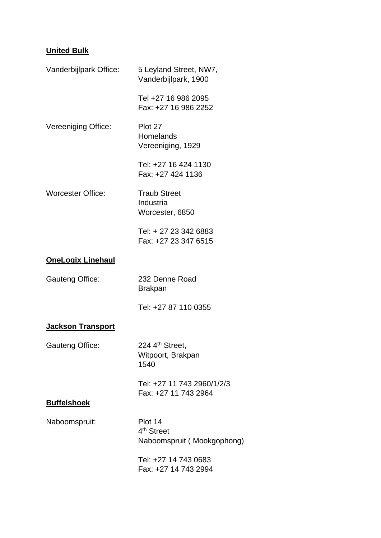## **United Bulk**

| Vanderbijlpark Office:     | 5 Leyland Street, NW7,<br>Vanderbijlpark, 1900                  |
|----------------------------|-----------------------------------------------------------------|
|                            | Tel +27 16 986 2095<br>Fax: +27 16 986 2252                     |
| <b>Vereeniging Office:</b> | Plot 27<br>Homelands<br>Vereeniging, 1929                       |
|                            | Tel: +27 16 424 1130<br>Fax: +27 424 1136                       |
| <b>Worcester Office:</b>   | <b>Traub Street</b><br>Industria<br>Worcester, 6850             |
|                            | Tel: + 27 23 342 6883<br>Fax: +27 23 347 6515                   |
| <b>OneLogix Linehaul</b>   |                                                                 |
| Gauteng Office:            | 232 Denne Road<br><b>Brakpan</b>                                |
|                            | Tel: +27 87 110 0355                                            |
| <u> Jackson Transport</u>  |                                                                 |
| <b>Gauteng Office:</b>     | 224 4 <sup>th</sup> Street.<br>Witpoort, Brakpan<br>1540        |
|                            | Tel: +27 11 743 2960/1/2/3                                      |
| <b>Buffelshoek</b>         | Fax: +27 11 743 2964                                            |
| Naboomspruit:              | Plot 14<br>4 <sup>th</sup> Street<br>Naboomspruit (Mookgophong) |
|                            | Tel: +27 14 743 0683<br>Fax: +27 14 743 2994                    |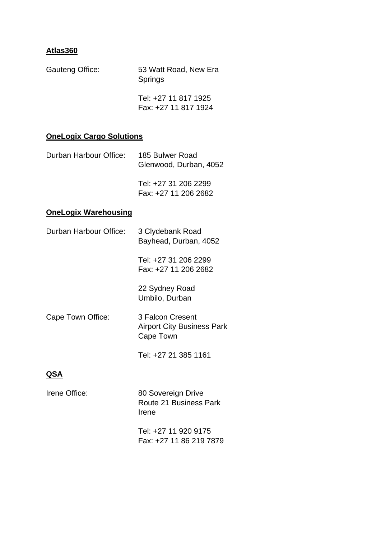## **Atlas360**

| <b>Gauteng Office:</b> | 53 Watt Road, New Era |
|------------------------|-----------------------|
|                        | Springs               |

Tel: +27 11 817 1925 Fax: +27 11 817 1924

#### **OneLogix Cargo Solutions**

| Durban Harbour Office: | 185 Bulwer Road          |
|------------------------|--------------------------|
|                        | Glenwood, Durban, 4052   |
|                        | $T - 1 - 07.24.000.0000$ |

Tel: +27 31 206 2299 Fax: +27 11 206 2682

## **OneLogix Warehousing**

| Durban Harbour Office: | 3 Clydebank Road<br>Bayhead, Durban, 4052                          |
|------------------------|--------------------------------------------------------------------|
|                        | Tel: +27 31 206 2299<br>Fax: +27 11 206 2682                       |
|                        | 22 Sydney Road<br>Umbilo, Durban                                   |
| Cape Town Office:      | 3 Falcon Cresent<br><b>Airport City Business Park</b><br>Cape Town |
|                        | Tel: +27 21 385 1161                                               |
| QSA                    |                                                                    |
| Irene Office:          | 80 Sovereign Drive<br>Route 21 Business Park                       |

Irene Tel: +27 11 920 9175

Fax: +27 11 86 219 7879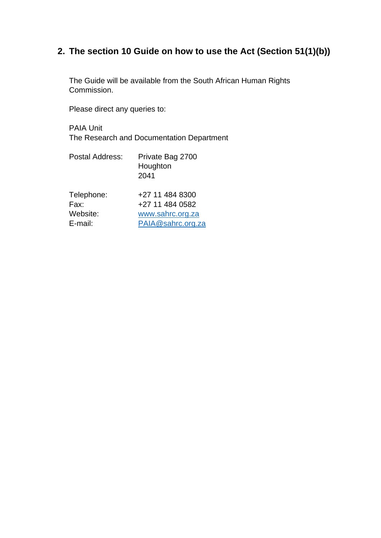# **2. The section 10 Guide on how to use the Act (Section 51(1)(b))**

The Guide will be available from the South African Human Rights Commission.

Please direct any queries to:

PAIA Unit The Research and Documentation Department

| <b>Postal Address:</b> | Private Bag 2700<br>Houghton<br>2041 |
|------------------------|--------------------------------------|
| Telephone:             | +27 11 484 8300                      |
| Fax:                   | +27 11 484 0582                      |
| Website:               | www.sahrc.org.za                     |
| E-mail:                | PAIA@sahrc.org.za                    |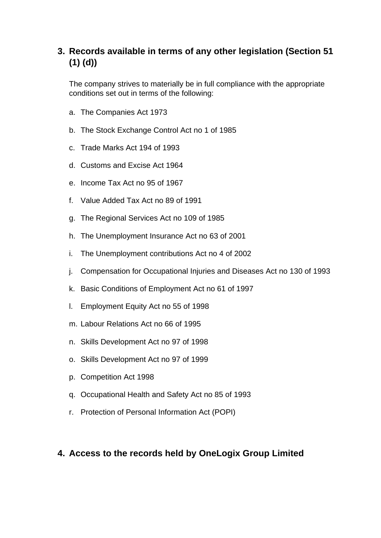# **3. Records available in terms of any other legislation (Section 51 (1) (d))**

The company strives to materially be in full compliance with the appropriate conditions set out in terms of the following:

- a. The Companies Act 1973
- b. The Stock Exchange Control Act no 1 of 1985
- c. Trade Marks Act 194 of 1993
- d. Customs and Excise Act 1964
- e. Income Tax Act no 95 of 1967
- f. Value Added Tax Act no 89 of 1991
- g. The Regional Services Act no 109 of 1985
- h. The Unemployment Insurance Act no 63 of 2001
- i. The Unemployment contributions Act no 4 of 2002
- j. Compensation for Occupational Injuries and Diseases Act no 130 of 1993
- k. Basic Conditions of Employment Act no 61 of 1997
- l. Employment Equity Act no 55 of 1998
- m. Labour Relations Act no 66 of 1995
- n. Skills Development Act no 97 of 1998
- o. Skills Development Act no 97 of 1999
- p. Competition Act 1998
- q. Occupational Health and Safety Act no 85 of 1993
- r. Protection of Personal Information Act (POPI)

## **4. Access to the records held by OneLogix Group Limited**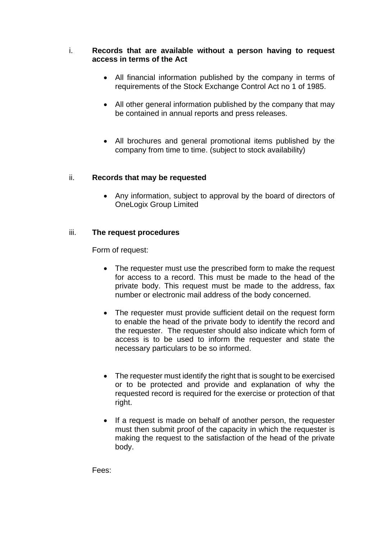#### i. **Records that are available without a person having to request access in terms of the Act**

- All financial information published by the company in terms of requirements of the Stock Exchange Control Act no 1 of 1985.
- All other general information published by the company that may be contained in annual reports and press releases.
- All brochures and general promotional items published by the company from time to time. (subject to stock availability)

## ii. **Records that may be requested**

• Any information, subject to approval by the board of directors of OneLogix Group Limited

## iii. **The request procedures**

Form of request:

- The requester must use the prescribed form to make the request for access to a record. This must be made to the head of the private body. This request must be made to the address, fax number or electronic mail address of the body concerned.
- The requester must provide sufficient detail on the request form to enable the head of the private body to identify the record and the requester. The requester should also indicate which form of access is to be used to inform the requester and state the necessary particulars to be so informed.
- The requester must identify the right that is sought to be exercised or to be protected and provide and explanation of why the requested record is required for the exercise or protection of that right.
- If a request is made on behalf of another person, the requester must then submit proof of the capacity in which the requester is making the request to the satisfaction of the head of the private body.

Fees: